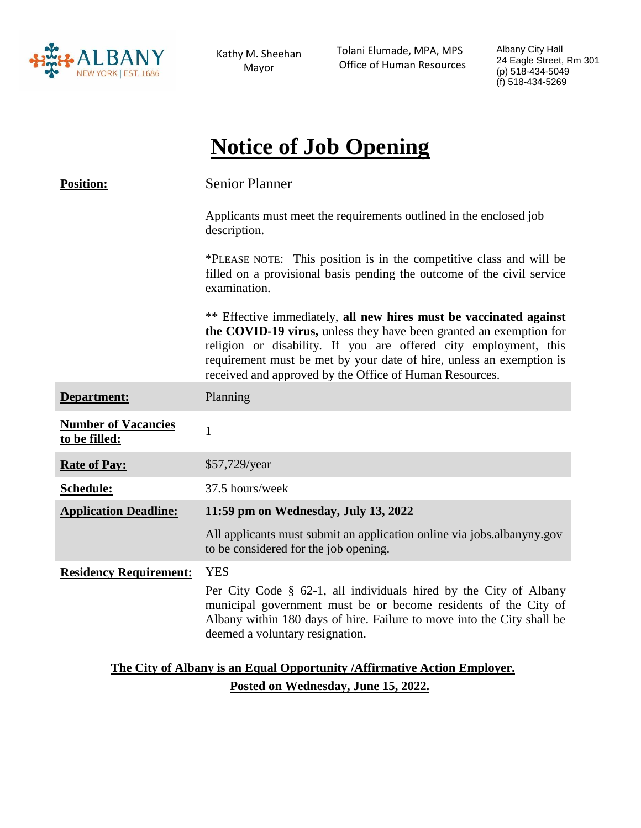

Kathy M. Sheehan Mayor

 Tolani Elumade, MPA, MPS Office of Human Resources Albany City Hall 24 Eagle Street, Rm 301 (p) 518-434-5049 (f) 518-434-5269

# **Notice of Job Opening**

| <b>Position:</b>                                                          | <b>Senior Planner</b>                                                                                                                                                                                                                                                                                                                           |
|---------------------------------------------------------------------------|-------------------------------------------------------------------------------------------------------------------------------------------------------------------------------------------------------------------------------------------------------------------------------------------------------------------------------------------------|
|                                                                           | Applicants must meet the requirements outlined in the enclosed job<br>description.                                                                                                                                                                                                                                                              |
|                                                                           | *PLEASE NOTE: This position is in the competitive class and will be<br>filled on a provisional basis pending the outcome of the civil service<br>examination.                                                                                                                                                                                   |
|                                                                           | ** Effective immediately, all new hires must be vaccinated against<br>the COVID-19 virus, unless they have been granted an exemption for<br>religion or disability. If you are offered city employment, this<br>requirement must be met by your date of hire, unless an exemption is<br>received and approved by the Office of Human Resources. |
| Department:                                                               | Planning                                                                                                                                                                                                                                                                                                                                        |
| <b>Number of Vacancies</b><br>to be filled:                               | $\mathbf{1}$                                                                                                                                                                                                                                                                                                                                    |
| <b>Rate of Pay:</b>                                                       | \$57,729/year                                                                                                                                                                                                                                                                                                                                   |
| Schedule:                                                                 | 37.5 hours/week                                                                                                                                                                                                                                                                                                                                 |
| <b>Application Deadline:</b>                                              | 11:59 pm on Wednesday, July 13, 2022                                                                                                                                                                                                                                                                                                            |
|                                                                           | All applicants must submit an application online via jobs.albanyny.gov<br>to be considered for the job opening.                                                                                                                                                                                                                                 |
| <b>Residency Requirement:</b>                                             | <b>YES</b><br>Per City Code § 62-1, all individuals hired by the City of Albany<br>municipal government must be or become residents of the City of<br>Albany within 180 days of hire. Failure to move into the City shall be<br>deemed a voluntary resignation.                                                                                 |
| The City of Albany is an Equal Opportunity / Affirmative Action Employer. |                                                                                                                                                                                                                                                                                                                                                 |

**Posted on Wednesday, June 15, 2022.**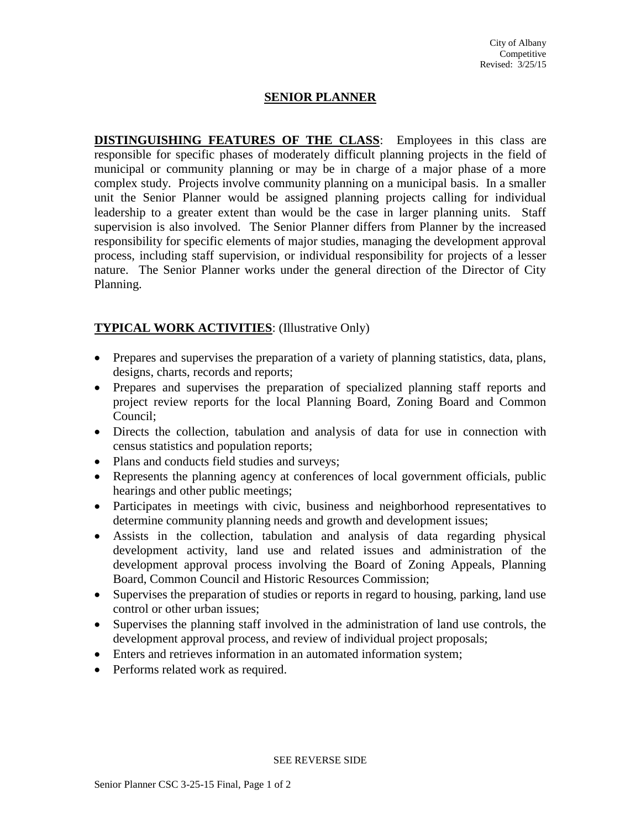#### **SENIOR PLANNER**

**DISTINGUISHING FEATURES OF THE CLASS**: Employees in this class are responsible for specific phases of moderately difficult planning projects in the field of municipal or community planning or may be in charge of a major phase of a more complex study. Projects involve community planning on a municipal basis. In a smaller unit the Senior Planner would be assigned planning projects calling for individual leadership to a greater extent than would be the case in larger planning units. Staff supervision is also involved. The Senior Planner differs from Planner by the increased responsibility for specific elements of major studies, managing the development approval process, including staff supervision, or individual responsibility for projects of a lesser nature. The Senior Planner works under the general direction of the Director of City Planning.

## **TYPICAL WORK ACTIVITIES**: (Illustrative Only)

- Prepares and supervises the preparation of a variety of planning statistics, data, plans, designs, charts, records and reports;
- Prepares and supervises the preparation of specialized planning staff reports and project review reports for the local Planning Board, Zoning Board and Common Council;
- Directs the collection, tabulation and analysis of data for use in connection with census statistics and population reports;
- Plans and conducts field studies and surveys;
- Represents the planning agency at conferences of local government officials, public hearings and other public meetings;
- Participates in meetings with civic, business and neighborhood representatives to determine community planning needs and growth and development issues;
- Assists in the collection, tabulation and analysis of data regarding physical development activity, land use and related issues and administration of the development approval process involving the Board of Zoning Appeals, Planning Board, Common Council and Historic Resources Commission;
- Supervises the preparation of studies or reports in regard to housing, parking, land use control or other urban issues;
- Supervises the planning staff involved in the administration of land use controls, the development approval process, and review of individual project proposals;
- Enters and retrieves information in an automated information system;
- Performs related work as required.